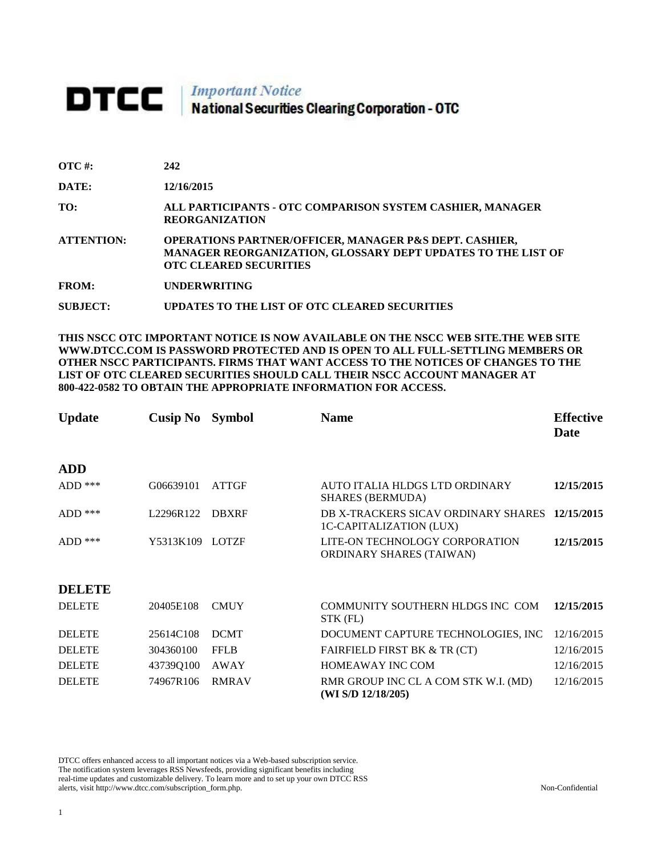## **DTCC** National Securities Clearing Corporation - OTC

| $\overline{\text{OTC}}$ #: | 242                                                                                                                                                                       |
|----------------------------|---------------------------------------------------------------------------------------------------------------------------------------------------------------------------|
| DATE:                      | 12/16/2015                                                                                                                                                                |
| TO:                        | ALL PARTICIPANTS - OTC COMPARISON SYSTEM CASHIER, MANAGER<br><b>REORGANIZATION</b>                                                                                        |
| <b>ATTENTION:</b>          | <b>OPERATIONS PARTNER/OFFICER, MANAGER P&amp;S DEPT. CASHIER,</b><br><b>MANAGER REORGANIZATION, GLOSSARY DEPT UPDATES TO THE LIST OF</b><br><b>OTC CLEARED SECURITIES</b> |
| <b>FROM:</b>               | <b>UNDERWRITING</b>                                                                                                                                                       |
|                            |                                                                                                                                                                           |

**SUBJECT: UPDATES TO THE LIST OF OTC CLEARED SECURITIES**

**THIS NSCC OTC IMPORTANT NOTICE IS NOW AVAILABLE ON THE NSCC WEB SITE.THE WEB SITE WWW.DTCC.COM IS PASSWORD PROTECTED AND IS OPEN TO ALL FULL-SETTLING MEMBERS OR OTHER NSCC PARTICIPANTS. FIRMS THAT WANT ACCESS TO THE NOTICES OF CHANGES TO THE LIST OF OTC CLEARED SECURITIES SHOULD CALL THEIR NSCC ACCOUNT MANAGER AT 800-422-0582 TO OBTAIN THE APPROPRIATE INFORMATION FOR ACCESS.** 

| <b>Update</b> | <b>Cusip No</b> | <b>Symbol</b> | <b>Name</b>                                                           | <b>Effective</b><br>Date |
|---------------|-----------------|---------------|-----------------------------------------------------------------------|--------------------------|
| <b>ADD</b>    |                 |               |                                                                       |                          |
| $ADD$ ***     | G06639101       | <b>ATTGF</b>  | AUTO ITALIA HLDGS LTD ORDINARY<br><b>SHARES (BERMUDA)</b>             | 12/15/2015               |
| $ADD$ ***     | L2296R122       | <b>DBXRF</b>  | DB X-TRACKERS SICAV ORDINARY SHARES<br><b>1C-CAPITALIZATION (LUX)</b> | 12/15/2015               |
| $ADD$ ***     | Y5313K109       | <b>LOTZF</b>  | LITE-ON TECHNOLOGY CORPORATION<br><b>ORDINARY SHARES (TAIWAN)</b>     | 12/15/2015               |
| <b>DELETE</b> |                 |               |                                                                       |                          |
| <b>DELETE</b> | 20405E108       | <b>CMUY</b>   | COMMUNITY SOUTHERN HLDGS INC COM<br>STK (FL)                          | 12/15/2015               |
| <b>DELETE</b> | 25614C108       | <b>DCMT</b>   | DOCUMENT CAPTURE TECHNOLOGIES, INC                                    | 12/16/2015               |
| <b>DELETE</b> | 304360100       | <b>FFLB</b>   | <b>FAIRFIELD FIRST BK &amp; TR (CT)</b>                               | 12/16/2015               |
| <b>DELETE</b> | 43739Q100       | AWAY          | <b>HOMEAWAY INC COM</b>                                               | 12/16/2015               |
| <b>DELETE</b> | 74967R106       | <b>RMRAV</b>  | RMR GROUP INC CL A COM STK W.I. (MD)<br>(WI S/D $12/18/205$ )         | 12/16/2015               |

DTCC offers enhanced access to all important notices via a Web-based subscription service. The notification system leverages RSS Newsfeeds, providing significant benefits including real-time updates and customizable delivery. To learn more and to set up your own DTCC RSS alerts, visit http://www.dtcc.com/subscription\_form.php. Non-Confidential